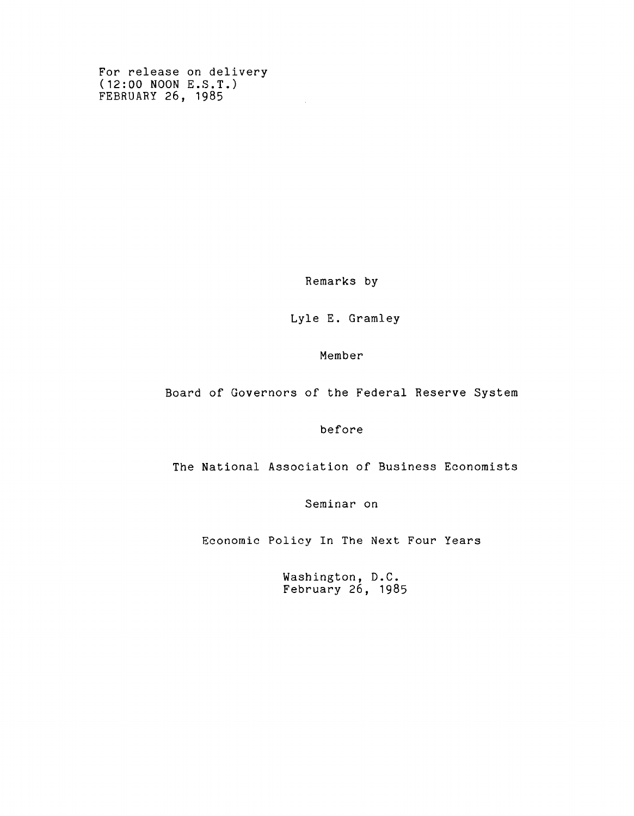**For release on delivery (12:00 NOON E.S.T.) FEBRUARY 26, 1985**

**Remarks by**

 $\sim$ 

**Lyle E. Gramley**

**Member**

**Board of Governors of the Federal Reserve System**

**before**

**The National Association of Business Economists**

**Seminar on**

**Economic Policy In The Next Four Years**

**Washington, D.C. February 26, 1985**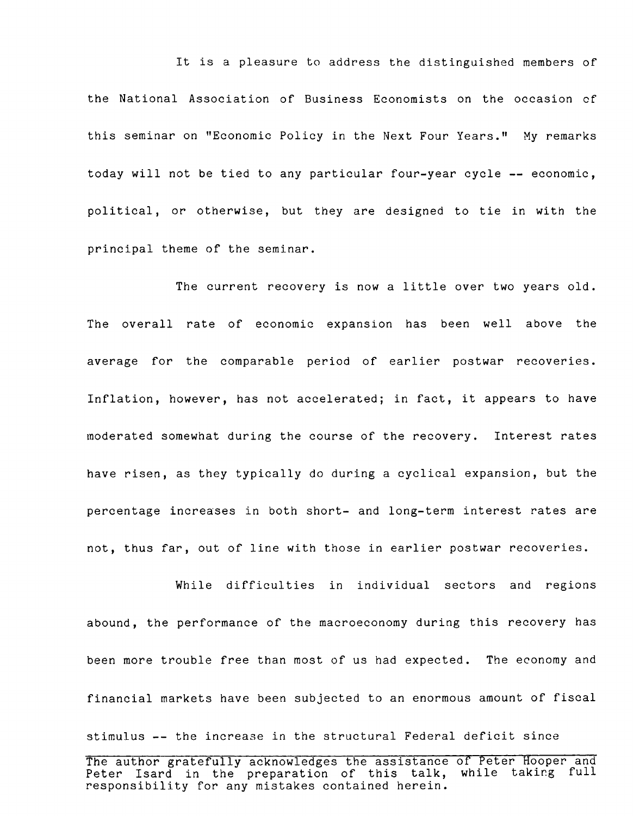**It is a pleasure to address the distinguished members of the National Association of Business Economists on the occasion cf this seminar on "Economic Policy in the Next Four Years." My remarks today will not be tied to any particular four-year cycle — economic, political, or otherwise, but they are designed to tie in with the principal theme of the seminar.**

**The current recovery is now a little over two years old. The overall rate of economic expansion has been well above the average for the comparable period of earlier postwar recoveries. Inflation, however, has not accelerated; in fact, it appears to have moderated somewhat during the course of the recovery. Interest rates have risen, as they typically do during a cyclical expansion, but the percentage increases in both short- and long-term interest rates are not, thus far, out of line with those in earlier postwar recoveries.**

**While difficulties in individual sectors and regions abound, the performance of the macroeconomy during this recovery has been more trouble free than most of us had expected. The economy and financial markets have been subjected to an enormous amount of fiscal stimulus — the increase in the structural Federal deficit since**

**The author gratefully acknowledges the assistance of Peter Hooper and Peter Isard in the preparation of this talk, while taking full responsibility for any mistakes contained herein.**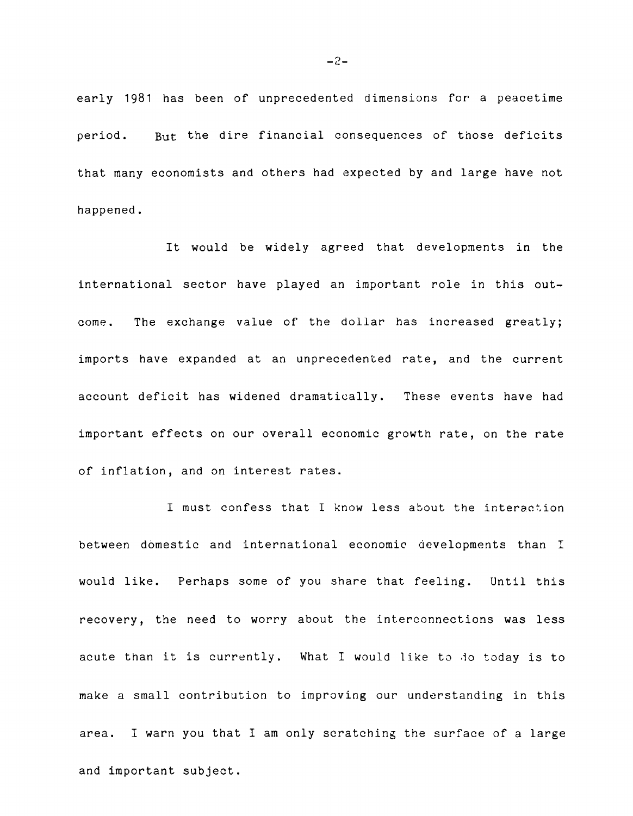**early 1981 has been of unprecedented dimensions for a peacetime period. But the dire financial consequences of those deficits that many economists and others had expected by and large have not happened.**

**It would be widely agreed that developments in the international sector have played an important role in this outcome. The exchange value of the dollar has increased greatly; imports have expanded at an unprecedented rate, and the current account deficit has widened dramatically. These events have had important effects on our overall economic growth rate, on the rate of inflation, and on interest rates.**

**I must confess that I know less about the interaction between domestic and international economic developments than I would like. Perhaps some of you share that feeling. Until this recovery, the need to worry about the interconnections was less acute than it is currently. What I would like to .1o today is to make a small contribution to improving our understanding in this area. I warn you that I am only scratching the surface of a large and important subject.**

 $-2-$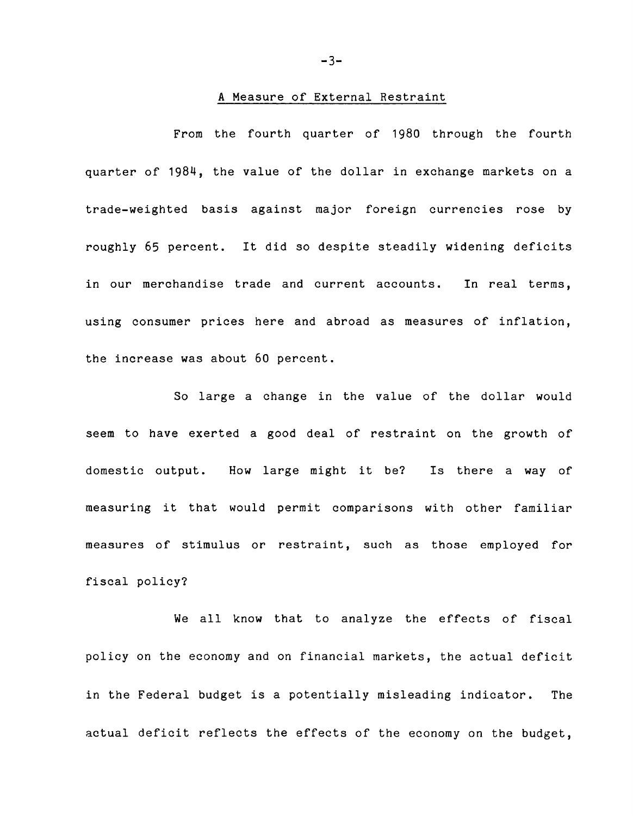# **A Measure of External Restraint**

**From the fourth quarter of 1980 through the fourth quarter of 1984, the value of the dollar in exchange markets on a trade-weighted basis against major foreign currencies rose by roughly 65 percent. It did so despite steadily widening deficits in our merchandise trade and current accounts. In real terms, using consumer prices here and abroad as measures of inflation, the increase was about 60 percent.**

**So large a change in the value of the dollar would seem to have exerted a good deal of restraint on the growth of domestic output. How large might it be? Is there a way of measuring it that would permit comparisons with other familiar measures of stimulus or restraint, such as those employed for fiscal policy?**

**We all know that to analyze the effects of fiscal policy on the economy and on financial markets, the actual deficit in the Federal budget is a potentially misleading indicator. The actual deficit reflects the effects of the economy on the budget,**

**- 3 -**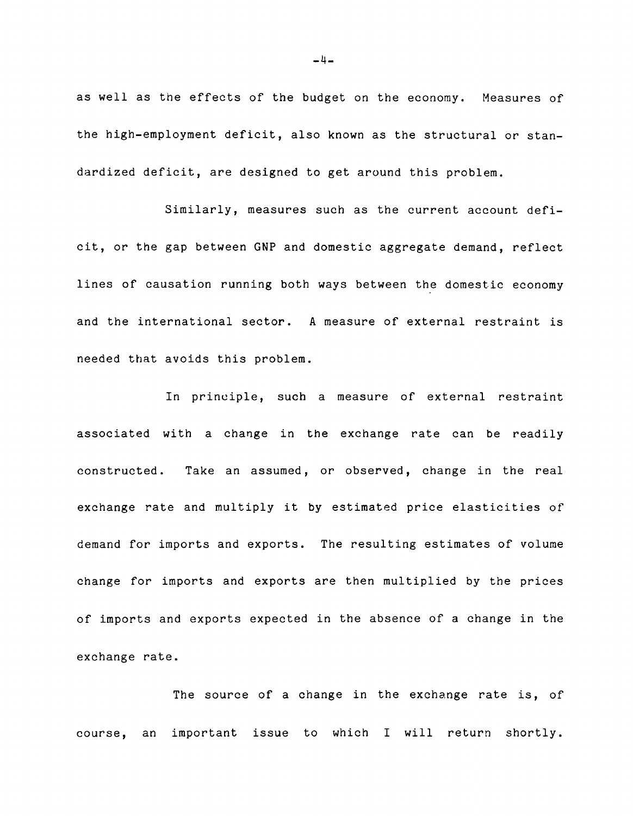**as well as the effects of the budget on the economy. Measures of the high-employment deficit, also known as the structural or standardized deficit, are designed to get around this problem.**

**Similarly, measures such as the current account deficit, or the gap between GNP and domestic aggregate demand, reflect lines of causation running both ways between the domestic economy and the international sector. A measure of external restraint is needed that avoids this problem.**

**In principle, such a measure of external restraint associated with a change in the exchange rate can be readily constructed. Take an assumed, or observed, change in the real exchange rate and multiply it by estimated price elasticities of demand for imports and exports. The resulting estimates of volume change for imports and exports are then multiplied by the prices of imports and exports expected in the absence of a change in the exchange rate.**

**The source of a change in the exchange rate is, of course, an important issue to which I will return shortly.**

**-li-**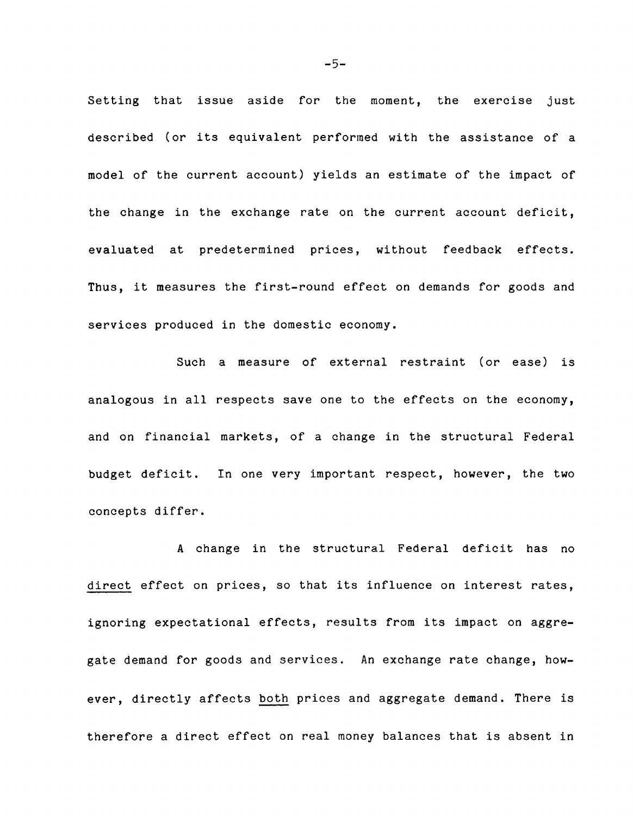**Setting that issue aside for the moment, the exercise just described (or its equivalent performed with the assistance of a model of the current account) yields an estimate of the impact of the change in the exchange rate on the current account deficit, evaluated at predetermined prices, without feedback effects. Thus, it measures the first-round effect on demands for goods and services produced in the domestic economy.**

**Such a measure of external restraint (or ease) is analogous in all respects save one to the effects on the economy, and on financial markets, of a change in the structural Federal budget deficit. In one very important respect, however, the two concepts differ.**

**A change in the structural Federal deficit has no direct effect on prices, so that its influence on interest rates, ignoring expectational effects, results from its impact on aggregate demand for goods and services. An exchange rate change, however, directly affects both prices and aggregate demand. There is therefore a direct effect on real money balances that is absent in**

 $-5-$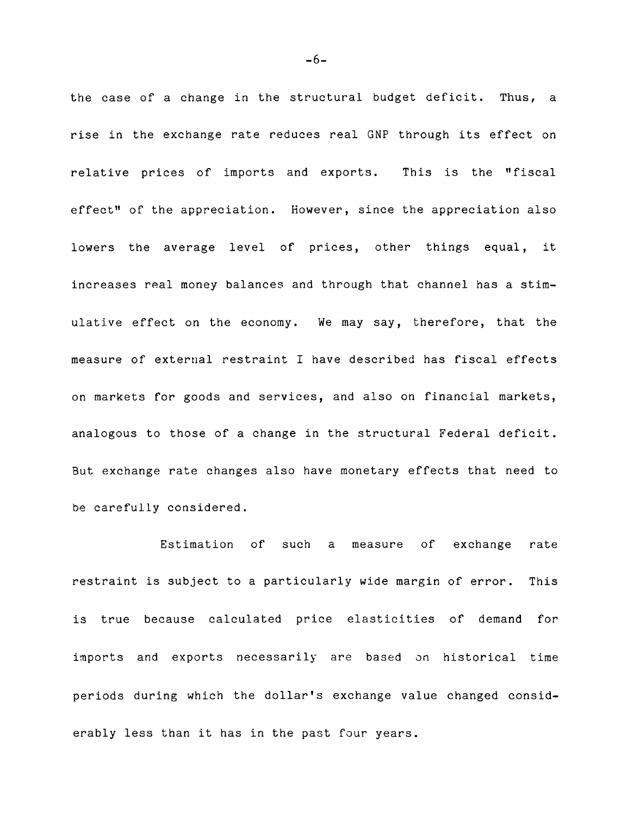**the case of a change in the structural budget deficit. Thus, a rise in the exchange rate reduces real GNP through its effect on relative prices of imports and exports. This is the "fiscal effect" of the appreciation. However, since the appreciation also lowers the average level of prices, other things equal, it increases real money balances and through that channel has a stimulative effect on the economy. We may say, therefore, that the measure of external restraint I have described has fiscal effects on markets for goods and services, and also on financial markets, analogous to those of a change in the structural Federal deficit. But exchange rate changes also have monetary effects that need to be carefully considered.**

**Estimation of such a measure of exchange rate restraint is subject to a particularly wide margin of error. This is true because calculated price elasticities of demand for imports and exports necessarily are based on historical time periods during which the dollar's exchange value changed considerably less than it has in the past four years.**

 $-6-$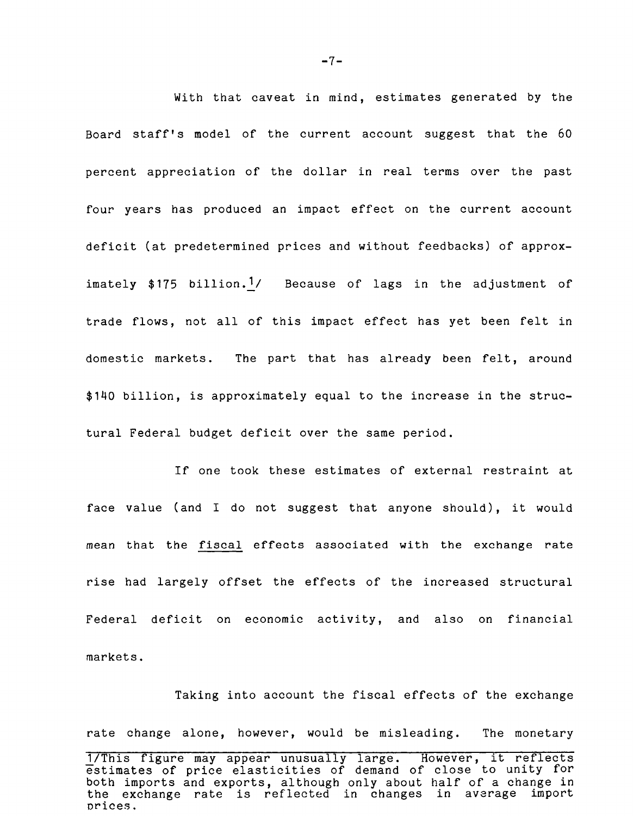**With that caveat in mind, estimates generated by the Board staff's model of the current account suggest that the 60 percent appreciation of the dollar in real terms over the past four years has produced an impact effect on the current account deficit (at predetermined prices and without feedbacks) of approx**imately \$175 billion.<sup>1</sup>/ Because of lags in the adjustment of **trade flows, not all of this impact effect has yet been felt in domestic markets. The part that has already been felt, around \$140 billion, is approximately equal to the increase in the structural Federal budget deficit over the same period.**

**If one took these estimates of external restraint at face value (and I do not suggest that anyone should), it would mean that the fiscal effects associated with the exchange rate rise had largely offset the effects of the increased structural Federal deficit on economic activity, and also on financial markets.**

**Taking into account the fiscal effects of the exchange rate change alone, however, would be misleading. The monetary TTT hTs figure may appear unusually large. However, It reflects estimates of price elasticities of demand of close to unity for both imports and exports, although only about half of a change in the exchange rate is reflected in changes in average import**

**Drices,**

 $-7 -$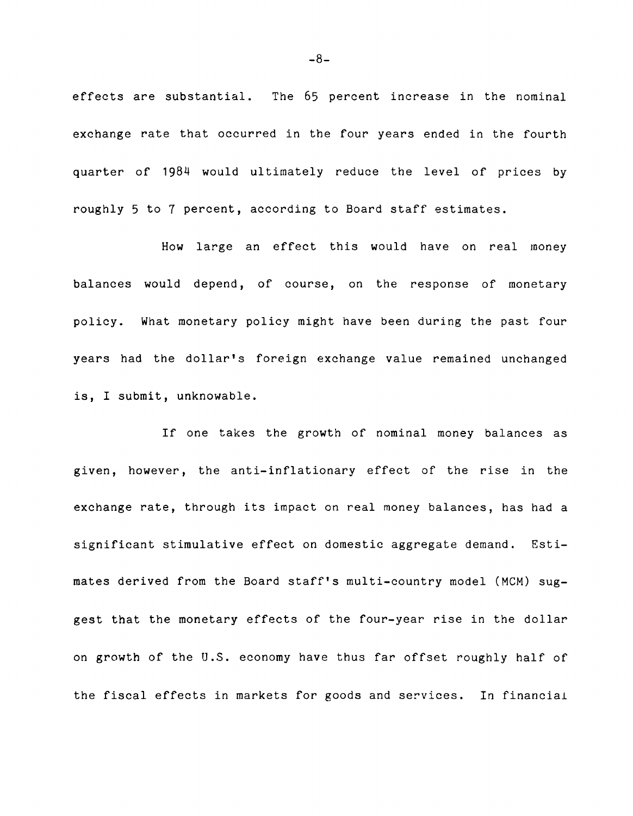**effects are substantial. The 65 percent increase in the nominal exchange rate that occurred in the four years ended in the fourth quarter of 1984 would ultimately reduce the level of prices by roughly 5 to 7 percent, according to Board staff estimates.**

**How large an effect this would have on real money balances would depend, of course, on the response of monetary policy. What monetary policy might have been during the past four years had the dollar's foreign exchange value remained unchanged is, I submit, unknowable.**

**If one takes the growth of nominal money balances as given, however, the anti-inflationary effect of the rise in the exchange rate, through its impact on real money balances, has had a significant stimulative effect on domestic aggregate demand. Estimates derived from the Board staff's multi-country model (MCM) suggest that the monetary effects of the four-year rise in the dollar on growth of the U.S. economy have thus far offset roughly half of the fiscal effects in markets for goods and services. In financial**

 $-8-$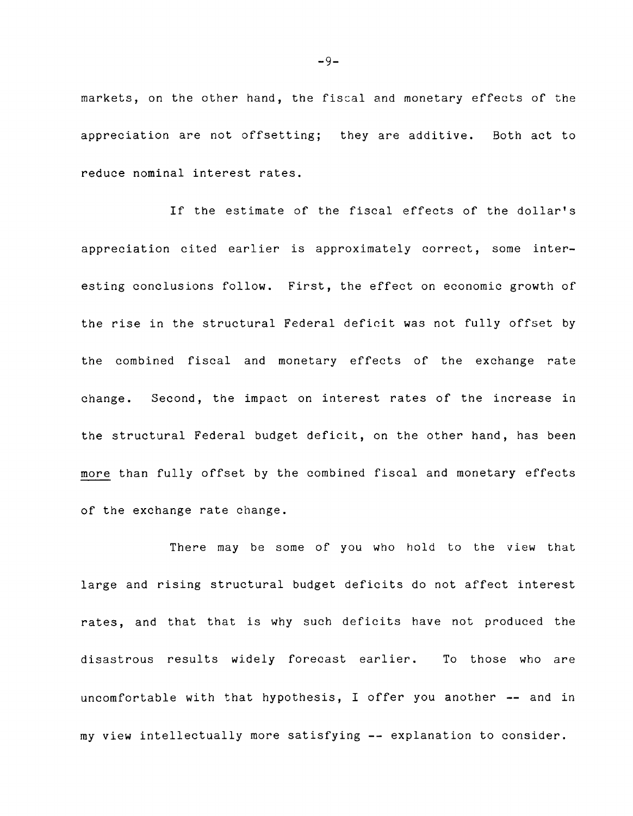**markets, on the other hand, the fiscal and monetary effects of the appreciation are not offsetting; they are additive. Both act to reduce nominal interest rates.**

**If the estimate of the fiscal effects of the dollar's appreciation cited earlier is approximately correct, some interesting conclusions follow. First, the effect on economic growth of the rise in the structural Federal deficit was not fully offset by the combined fiscal and monetary effects of the exchange rate change. Second, the impact on interest rates of the increase in the structural Federal budget deficit, on the other hand, has been more than fully offset by the combined fiscal and monetary effects of the exchange rate change.**

**There may be some of you who hold to the view that large and rising structural budget deficits do not affect interest rates, and that that is why such deficits have not produced the disastrous results widely forecast earlier. To those who are uncomfortable with that hypothesis, I offer you another — and in my view intellectually more satisfying -- explanation to consider.**

 $-9-$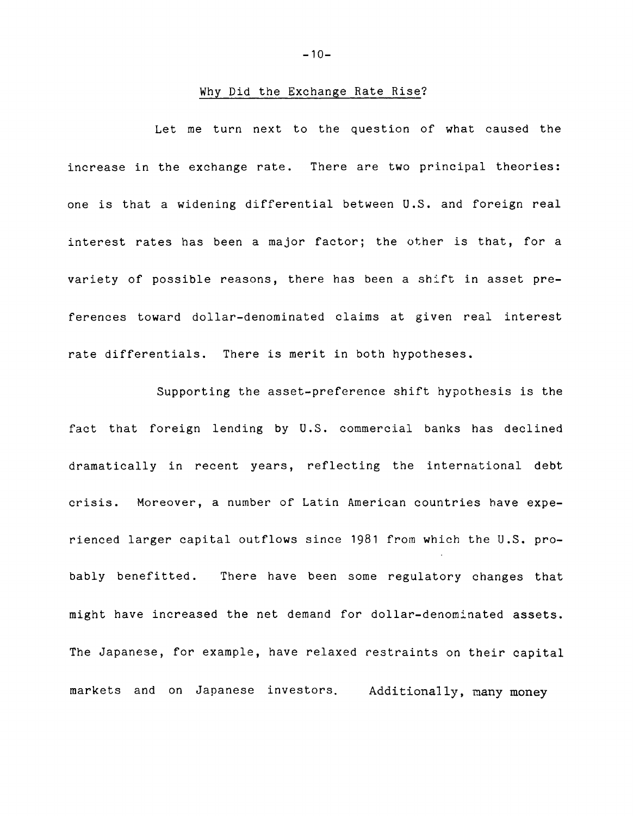### **Why Did the Exchange Rate Rise?**

**Let me turn next to the question of what caused the increase in the exchange rate. There are two principal theories: one is that a widening differential between U.S. and foreign real interest rates has been a major factor; the other is that, for a variety of possible reasons, there has been a shift in asset preferences toward dollar-denominated claims at given real interest rate differentials. There is merit in both hypotheses.**

**Supporting the asset-preference shift hypothesis is the fact that foreign lending by U.S. commercial banks has declined dramatically in recent years, reflecting the international debt crisis. Moreover, a number of Latin American countries have experienced larger capital outflows since 1981 from which the U.S. probably benefitted. There have been some regulatory changes that might have increased the net demand for dollar-denominated assets. The Japanese, for example, have relaxed restraints on their capital markets and on Japanese investors. Additionally, many money**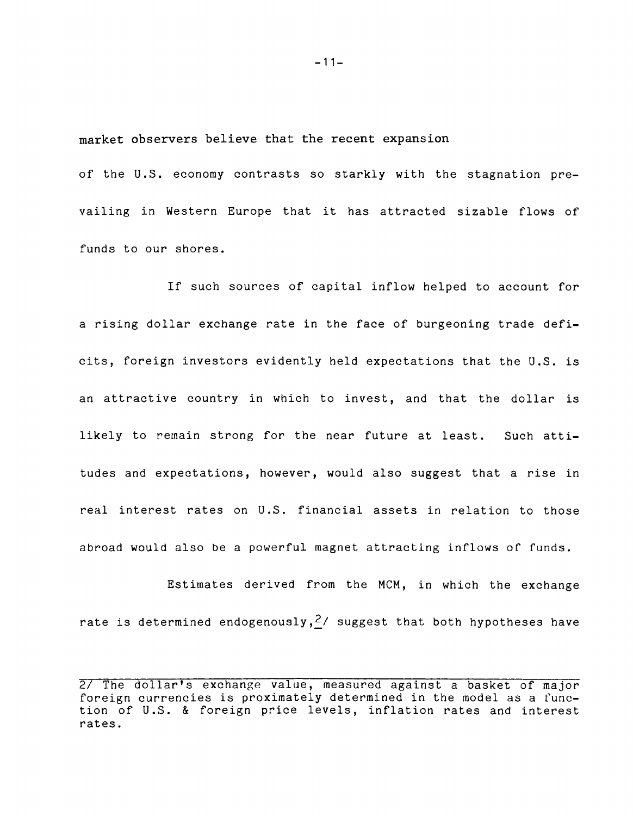**market observers believe that the recent expansion**

**of the U.S. economy contrasts so starkly with the stagnation prevailing in Western Europe that it has attracted sizable flows of funds to our shores.**

**If such sources of capital inflow helped to account for a rising dollar exchange rate in the face of burgeoning trade deficits, foreign investors evidently held expectations that the U.S. is an attractive country in which to invest, and that the dollar is likely to remain strong for the near future at least. Such attitudes and expectations, however, would also suggest that a rise in real interest rates on U.S. financial assets in relation to those abroad would also be a powerful magnet attracting inflows of funds.**

**Estimates derived from the MCM, in which the exchange rate is determined endogenously,£/ suggest that both hypotheses have**

**- 11 -**

**<sup>27</sup> The dollar's exchange value, measured against a basket of major foreign currencies is proximately determined in the model as a function of U.S. & foreign price levels, inflation rates and interest rates.**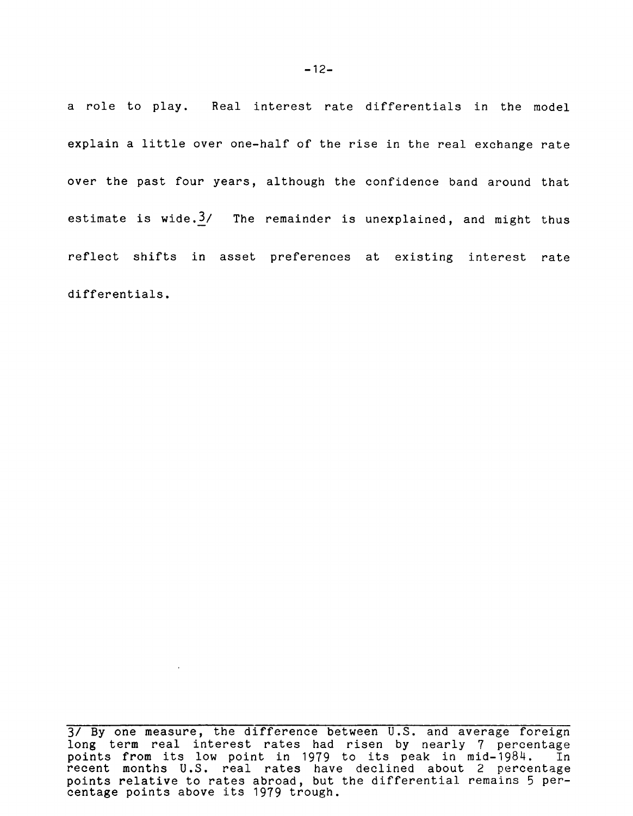**a role to play. Real interest rate differentials in the model explain a little over one-half of the rise in the real exchange rate over the past four years, although the confidence band around that estimate is wide.3/ The remainder is unexplained, and might thus reflect shifts in asset preferences at existing interest rate differentials.**

 $\sim 10^{10}$  km s  $^{-1}$ 

**<sup>3/</sup> By one measure, the difference between U.S. and average foreign long term real interest rates had risen by nearly 7 percentage points from its low point in 1979 to its peak in mid-1984. In recent months U.S. real rates have declined about 2 percentage points relative to rates abroad, but the differential remains 5 percentage points above its 1979 trough.**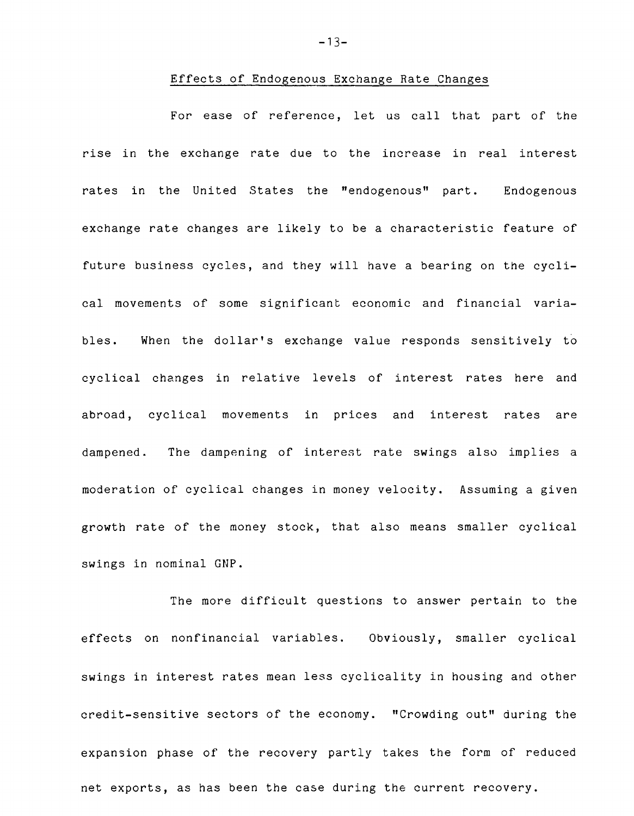#### **Effects of Endogenous Exchange Rate Changes**

**For ease of reference, let us call that part of the rise in the exchange rate due to the increase in real interest rates in the United States the ''endogenous" part. Endogenous exchange rate changes are likely to be a characteristic feature of future business cycles, and they will have a bearing on the cyclical movements of some significant economic and financial variables. When the dollar's exchange value responds sensitively to cyclical changes in relative levels of interest rates here and abroad, cyclical movements in prices and interest rates are dampened. The dampening of interest rate swings also implies a moderation of cyclical changes in money velocity. Assuming a given growth rate of the money stock, that also means smaller cyclical swings in nominal GNP.**

**The more difficult questions to answer pertain to the effects on nonfinancial variables. Obviously, smaller cyclical swings in interest rates mean less cyclicality in housing and other credit-sensitive sectors of the economy. "Crowding out" during the expansion phase of the recovery partly takes the form of reduced net exports, as has been the case during the current recovery.**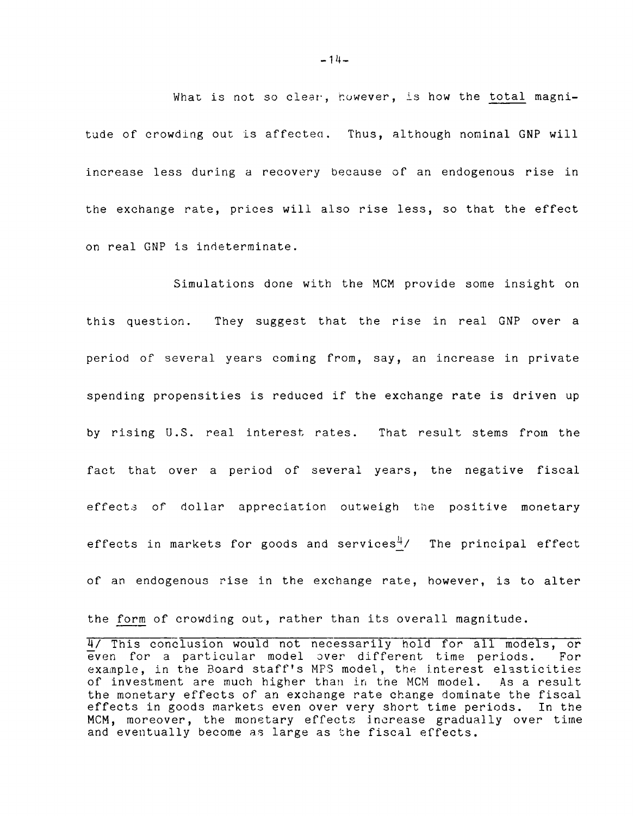What is not so clear, however, is how the total magnitude of crowding out is affected. Thus, although nominal GNP will **increase less during a recovery because of an endogenous rise in the exchange rate, prices will also rise less, so that the effect on real GNP is indeterminate.**

**Simulations done with the MCM provide some insight on this question. They suggest that the rise in real GNP over a period of several years coming from, say, an increase in private spending propensities is reduced if the exchange rate is driven up by rising U.S. real interest rates. That result stems from the fact that over a period of several years, the negative fiscal effects of dollar appreciation outweigh the positive monetary** effects in markets for goods and services<sup>4</sup>/ The principal effect **of an endogenous rise in the exchange rate, however, is to alter**

**the form of crowding out, rather than its overall magnitude.**

**<sup>¥7</sup> This conclusion would not necessarily hold for all models, or even for a particular model over different time periods. example, in the Board staff's MPS model, the interest elasticities of investment are much higher than in the MCM model. As a result the monetary effects of an exchange rate change dominate the fiscal effects in goods markets even over very short time periods. In the MCM, moreover, the monetary effects increase gradually over time and eventually become as large as the fiscal effects.**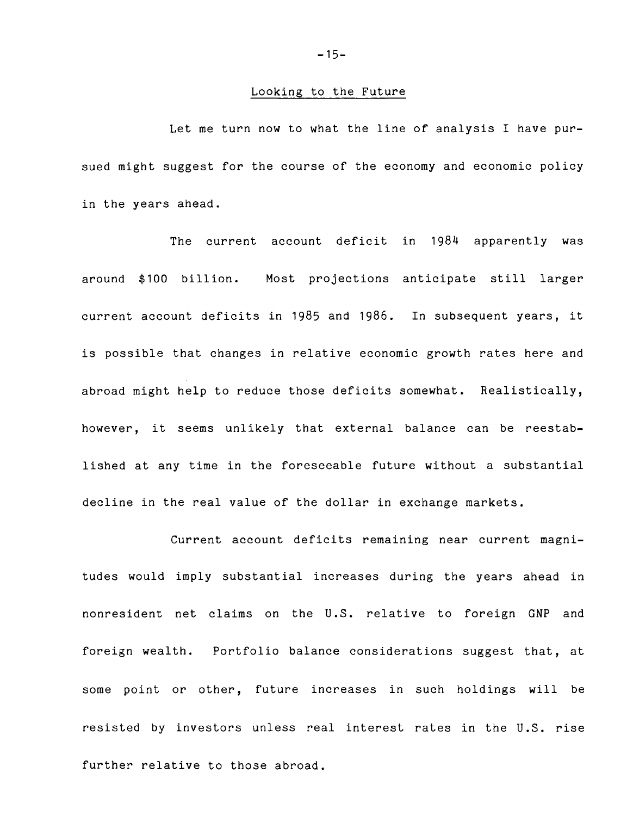#### **Looking to the Future**

**Let me turn now to what the line of analysis I have pursued might suggest for the course of the economy and economic policy in the years ahead.**

**The current account deficit in 1984 apparently was around \$100 billion. Most projections anticipate still larger current account deficits in 1985 and 1986. In subsequent years, it is possible that changes in relative economic growth rates here and abroad might help to reduce those deficits somewhat. Realistically, however, it seems unlikely that external balance can be reestablished at any time in the foreseeable future without a substantial decline in the real value of the dollar in exchange markets.**

**Current account deficits remaining near current magnitudes would imply substantial increases during the years ahead in nonresident net claims on the U.S. relative to foreign GNP and foreign wealth. Portfolio balance considerations suggest that, at some point or other, future increases in such holdings will be resisted by investors unless real interest rates in the U.S. rise further relative to those abroad.**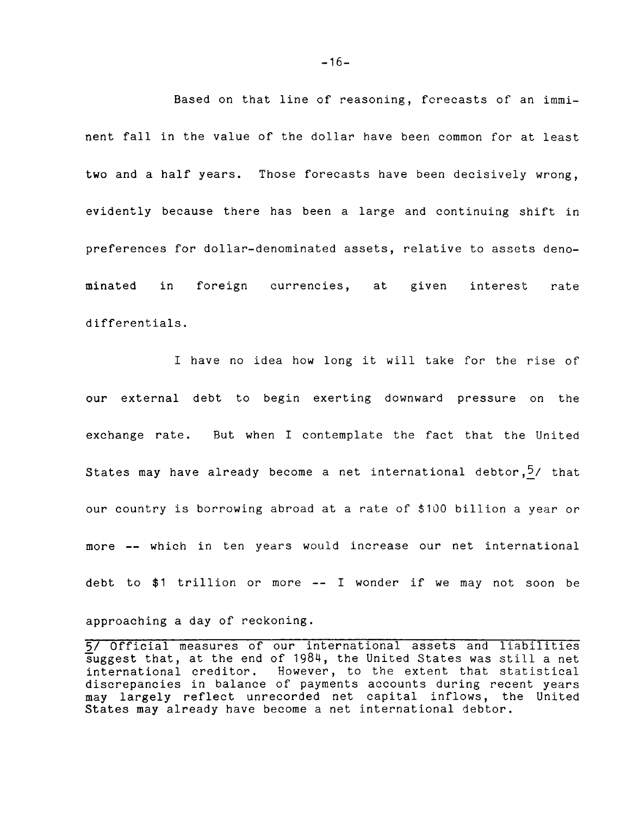**Based on that line of reasoning, forecasts of an imminent fall in the value of the dollar have been common for at least two and a half years. Those forecasts have been decisively wrong, evidently because there has been a large and continuing shift in preferences for dollar-denominated assets, relative to assets denominated in foreign currencies, at given interest rate differentials.**

**I have no idea how long it will take for the rise of our external debt to begin exerting downward pressure on the exchange rate. But when I contemplate the fact that the United States may have already become a net international debtor,5/ that our country is borrowing abroad at a rate of \$100 billion a year or more — which in ten years would increase our net international debt to \$1 trillion or more — I wonder if we may not soon be**

**approaching a day of reckoning.**

**5/ Official measures of our international assets and liabilities suggest that, at the end of 1984, the United States was still a net international interprese** However, to the extent that statistical **discrepancies in balance of payments accounts during recent years may largely reflect unrecorded net capital inflows, the United States may already have become a net international debtor.**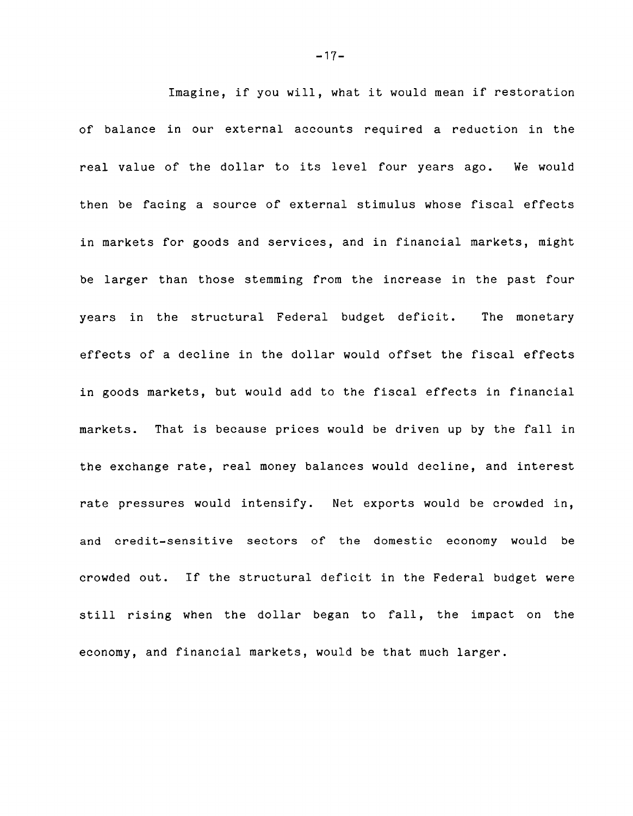**Imagine, if you will, what it would mean if restoration of balance in our external accounts required a reduction in the real value of the dollar to its level four years ago. We would then be facing a source of external stimulus whose fiscal effects in markets for goods and services, and in financial markets, might be larger than those stemming from the increase in the past four years in the structural Federal budget deficit. The monetary effects of a decline in the dollar would offset the fiscal effects in goods markets, but would add to the fiscal effects in financial markets. That is because prices would be driven up by the fall in the exchange rate, real money balances would decline, and interest rate pressures would intensify. Net exports would be crowded in, and credit-sensitive sectors of the domestic economy would be crowded out. If the structural deficit in the Federal budget were still rising when the dollar began to fall, the impact on the economy, and financial markets, would be that much larger.**

- **17**-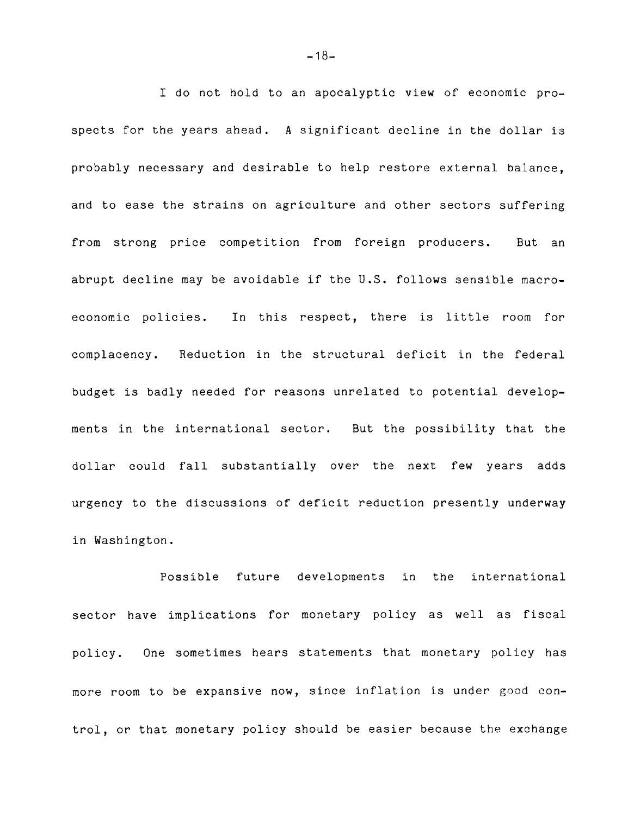**I do not hold to an apocalyptic view of economic prospects for the years ahead. A significant decline in the dollar is probably necessary and desirable to help restore external balance, and to ease the strains on agriculture and other sectors suffering from strong price competition from foreign producers. But an abrupt decline may be avoidable if the U.S. follows sensible macroeconomic policies. In this respect, there is little room for complacency. Reduction in the structural deficit in the federal budget is badly needed for reasons unrelated to potential developments in the international sector. But the possibility that the dollar could fall substantially over the next few years adds urgency to the discussions of deficit reduction presently underway in Washington.**

**Possible future developments in the international sector have implications for monetary policy as well as fiscal policy. One sometimes hears statements that monetary policy has more room to be expansive now, since inflation is under good control, or that monetary policy should be easier because the exchange**

 $-18-$